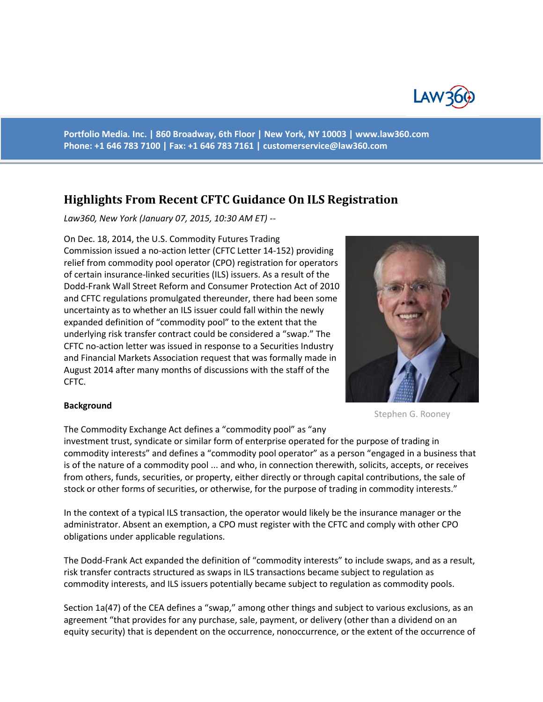

**Portfolio Media. Inc. | 860 Broadway, 6th Floor | New York, NY 10003 | www.law360.com Phone: +1 646 783 7100 | Fax: +1 646 783 7161 | [customerservice@law360.com](mailto:customerservice@law360.com)**

## **Highlights From Recent CFTC Guidance On ILS Registration**

*Law360, New York (January 07, 2015, 10:30 AM ET) --*

On Dec. 18, 2014, the U.S. Commodity Futures Trading Commission issued a no-action letter (CFTC Letter 14-152) providing relief from commodity pool operator (CPO) registration for operators of certain insurance-linked securities (ILS) issuers. As a result of the Dodd-Frank Wall Street Reform and Consumer Protection Act of 2010 and CFTC regulations promulgated thereunder, there had been some uncertainty as to whether an ILS issuer could fall within the newly expanded definition of "commodity pool" to the extent that the underlying risk transfer contract could be considered a "swap." The CFTC no-action letter was issued in response to a Securities Industry and Financial Markets Association request that was formally made in August 2014 after many months of discussions with the staff of the CFTC.



## **Background**

The Commodity Exchange Act defines a "commodity pool" as "any

investment trust, syndicate or similar form of enterprise operated for the purpose of trading in commodity interests" and defines a "commodity pool operator" as a person "engaged in a business that is of the nature of a commodity pool ... and who, in connection therewith, solicits, accepts, or receives from others, funds, securities, or property, either directly or through capital contributions, the sale of stock or other forms of securities, or otherwise, for the purpose of trading in commodity interests."

In the context of a typical ILS transaction, the operator would likely be the insurance manager or the administrator. Absent an exemption, a CPO must register with the CFTC and comply with other CPO obligations under applicable regulations.

The Dodd-Frank Act expanded the definition of "commodity interests" to include swaps, and as a result, risk transfer contracts structured as swaps in ILS transactions became subject to regulation as commodity interests, and ILS issuers potentially became subject to regulation as commodity pools.

Section 1a(47) of the CEA defines a "swap," among other things and subject to various exclusions, as an agreement "that provides for any purchase, sale, payment, or delivery (other than a dividend on an equity security) that is dependent on the occurrence, nonoccurrence, or the extent of the occurrence of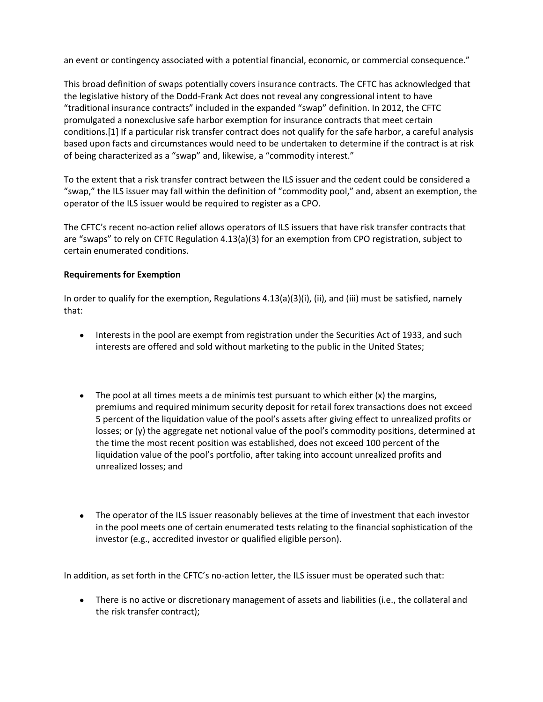an event or contingency associated with a potential financial, economic, or commercial consequence."

This broad definition of swaps potentially covers insurance contracts. The CFTC has acknowledged that the legislative history of the Dodd-Frank Act does not reveal any congressional intent to have "traditional insurance contracts" included in the expanded "swap" definition. In 2012, the CFTC promulgated a nonexclusive safe harbor exemption for insurance contracts that meet certain conditions.[1] If a particular risk transfer contract does not qualify for the safe harbor, a careful analysis based upon facts and circumstances would need to be undertaken to determine if the contract is at risk of being characterized as a "swap" and, likewise, a "commodity interest."

To the extent that a risk transfer contract between the ILS issuer and the cedent could be considered a "swap," the ILS issuer may fall within the definition of "commodity pool," and, absent an exemption, the operator of the ILS issuer would be required to register as a CPO.

The CFTC's recent no-action relief allows operators of ILS issuers that have risk transfer contracts that are "swaps" to rely on CFTC Regulation 4.13(a)(3) for an exemption from CPO registration, subject to certain enumerated conditions.

## **Requirements for Exemption**

In order to qualify for the exemption, Regulations 4.13(a)(3)(i), (ii), and (iii) must be satisfied, namely that:

- Interests in the pool are exempt from registration under the Securities Act of 1933, and such  $\bullet$ interests are offered and sold without marketing to the public in the United States;
- $\bullet$  The pool at all times meets a de minimis test pursuant to which either (x) the margins, premiums and required minimum security deposit for retail forex transactions does not exceed 5 percent of the liquidation value of the pool's assets after giving effect to unrealized profits or losses; or (y) the aggregate net notional value of the pool's commodity positions, determined at the time the most recent position was established, does not exceed 100 percent of the liquidation value of the pool's portfolio, after taking into account unrealized profits and unrealized losses; and
- The operator of the ILS issuer reasonably believes at the time of investment that each investor  $\bullet$ in the pool meets one of certain enumerated tests relating to the financial sophistication of the investor (e.g., accredited investor or qualified eligible person).

In addition, as set forth in the CFTC's no-action letter, the ILS issuer must be operated such that:

There is no active or discretionary management of assets and liabilities (i.e., the collateral and the risk transfer contract);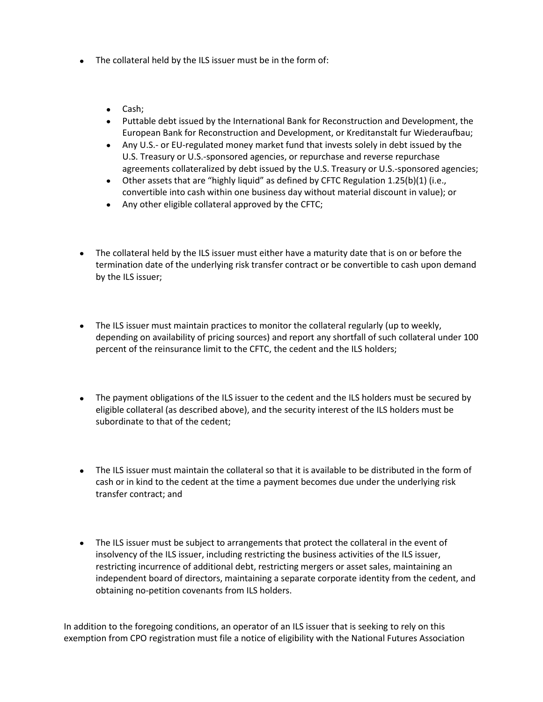- The collateral held by the ILS issuer must be in the form of:
	- Cash;
	- Puttable debt issued by the International Bank for Reconstruction and Development, the European Bank for Reconstruction and Development, or Kreditanstalt fur Wiederaufbau;
	- Any U.S.- or EU-regulated money market fund that invests solely in debt issued by the U.S. Treasury or U.S.-sponsored agencies, or repurchase and reverse repurchase agreements collateralized by debt issued by the U.S. Treasury or U.S.-sponsored agencies;
	- Other assets that are "highly liquid" as defined by CFTC Regulation 1.25(b)(1) (i.e., convertible into cash within one business day without material discount in value); or
	- Any other eligible collateral approved by the CFTC;
- The collateral held by the ILS issuer must either have a maturity date that is on or before the termination date of the underlying risk transfer contract or be convertible to cash upon demand by the ILS issuer;
- The ILS issuer must maintain practices to monitor the collateral regularly (up to weekly, depending on availability of pricing sources) and report any shortfall of such collateral under 100 percent of the reinsurance limit to the CFTC, the cedent and the ILS holders;
- The payment obligations of the ILS issuer to the cedent and the ILS holders must be secured by eligible collateral (as described above), and the security interest of the ILS holders must be subordinate to that of the cedent;
- The ILS issuer must maintain the collateral so that it is available to be distributed in the form of cash or in kind to the cedent at the time a payment becomes due under the underlying risk transfer contract; and
- The ILS issuer must be subject to arrangements that protect the collateral in the event of  $\bullet$ insolvency of the ILS issuer, including restricting the business activities of the ILS issuer, restricting incurrence of additional debt, restricting mergers or asset sales, maintaining an independent board of directors, maintaining a separate corporate identity from the cedent, and obtaining no-petition covenants from ILS holders.

In addition to the foregoing conditions, an operator of an ILS issuer that is seeking to rely on this exemption from CPO registration must file a notice of eligibility with the National Futures Association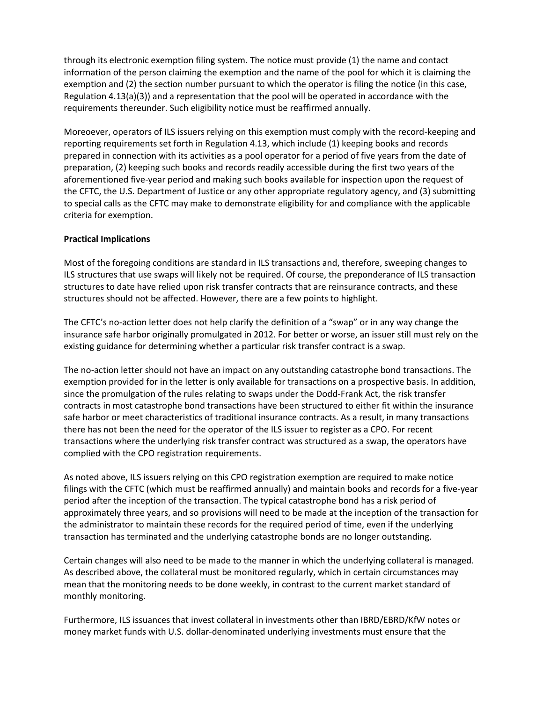through its electronic exemption filing system. The notice must provide (1) the name and contact information of the person claiming the exemption and the name of the pool for which it is claiming the exemption and (2) the section number pursuant to which the operator is filing the notice (in this case, Regulation 4.13(a)(3)) and a representation that the pool will be operated in accordance with the requirements thereunder. Such eligibility notice must be reaffirmed annually.

Moreoever, operators of ILS issuers relying on this exemption must comply with the record-keeping and reporting requirements set forth in Regulation 4.13, which include (1) keeping books and records prepared in connection with its activities as a pool operator for a period of five years from the date of preparation, (2) keeping such books and records readily accessible during the first two years of the aforementioned five-year period and making such books available for inspection upon the request of the CFTC, the U.S. Department of Justice or any other appropriate regulatory agency, and (3) submitting to special calls as the CFTC may make to demonstrate eligibility for and compliance with the applicable criteria for exemption.

## **Practical Implications**

Most of the foregoing conditions are standard in ILS transactions and, therefore, sweeping changes to ILS structures that use swaps will likely not be required. Of course, the preponderance of ILS transaction structures to date have relied upon risk transfer contracts that are reinsurance contracts, and these structures should not be affected. However, there are a few points to highlight.

The CFTC's no-action letter does not help clarify the definition of a "swap" or in any way change the insurance safe harbor originally promulgated in 2012. For better or worse, an issuer still must rely on the existing guidance for determining whether a particular risk transfer contract is a swap.

The no-action letter should not have an impact on any outstanding catastrophe bond transactions. The exemption provided for in the letter is only available for transactions on a prospective basis. In addition, since the promulgation of the rules relating to swaps under the Dodd-Frank Act, the risk transfer contracts in most catastrophe bond transactions have been structured to either fit within the insurance safe harbor or meet characteristics of traditional insurance contracts. As a result, in many transactions there has not been the need for the operator of the ILS issuer to register as a CPO. For recent transactions where the underlying risk transfer contract was structured as a swap, the operators have complied with the CPO registration requirements.

As noted above, ILS issuers relying on this CPO registration exemption are required to make notice filings with the CFTC (which must be reaffirmed annually) and maintain books and records for a five-year period after the inception of the transaction. The typical catastrophe bond has a risk period of approximately three years, and so provisions will need to be made at the inception of the transaction for the administrator to maintain these records for the required period of time, even if the underlying transaction has terminated and the underlying catastrophe bonds are no longer outstanding.

Certain changes will also need to be made to the manner in which the underlying collateral is managed. As described above, the collateral must be monitored regularly, which in certain circumstances may mean that the monitoring needs to be done weekly, in contrast to the current market standard of monthly monitoring.

Furthermore, ILS issuances that invest collateral in investments other than IBRD/EBRD/KfW notes or money market funds with U.S. dollar-denominated underlying investments must ensure that the